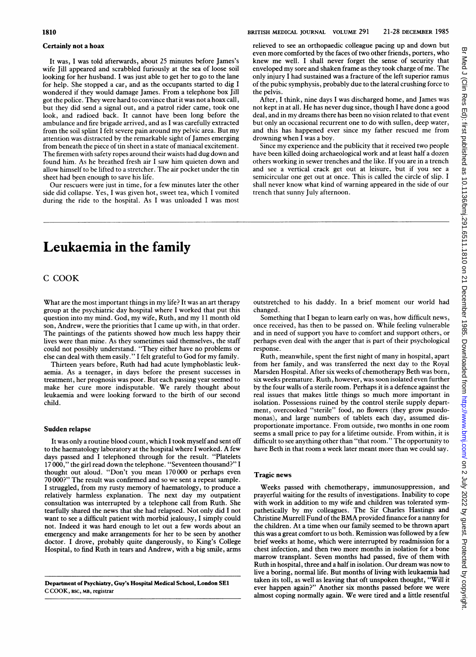#### 1810 BRITISH MEDICAL JOURNAL VOLUME 291 21-28 DECEMBER 1985

### Certainly not a hoax

It was, <sup>I</sup> was told afterwards, about 25 minutes before James's wife Jill appeared and scrabbled furiously at the sea of loose soil looking for her husband. <sup>I</sup> was just able to get her to go to the lane for help. She stopped a car, and as the occupants started to dig <sup>I</sup> wondered if they would damage James. From <sup>a</sup> telephone box Jill got the police. They were hard to convince that it was not a hoax call, but they did send a signal out, and a patrol rider came, took one look, and radioed back. It cannot have been long before the ambulance and fire brigade arrived, and as <sup>I</sup> was carefully extracted from the soil splint <sup>I</sup> felt severe pain around my pelvic area. But my attention was distracted by the remarkable sight of James emerging from beneath the piece of tin sheet in a state of maniacal excitement. The firemen with safety ropes around their waists had dug down and found him. As he breathed fresh air <sup>I</sup> saw him quieten down and allow himself to be lifted to a stretcher. The air pocket under the tin sheet had been enough to save his life.

Our rescuers were just in time, for a few minutes later the other side did collapse. Yes, <sup>I</sup> was given hot, sweet tea, which <sup>I</sup> vomited during the ride to the hospital. As <sup>I</sup> was unloaded <sup>I</sup> was most relieved to see an orthopaedic colleague pacing up and down but even more comforted by the faces of two other friends, porters, who knew me well. <sup>I</sup> shall never forget the sense of security that enveloped my sore and shaken frame as they took charge of me. The only injury <sup>I</sup> had sustained was a fracture of the left superior ramus of the pubic symphysis, probably due to the lateral crushing force to the pelvis.

After, <sup>I</sup> think, nine days <sup>I</sup> was discharged home, and James was not kept in at all. He has never dug since, though <sup>I</sup> have done <sup>a</sup> good deal, and in my dreams there has been no vision related to that event but only an occasional recurrent one to do with sullen, deep water, and this has happened ever since my father rescued me from drowning when <sup>I</sup> was a boy.

Since my experience and the publicity that it received two people have been killed doing archaeological work and at least half a dozen others working in sewer trenches and the like. If you are in a trench and see a vertical crack get out at leisure, but if you see a semicircular one get out at once. This is called the circle of slip. <sup>I</sup> shall never know what kind of warning appeared in the side of our trench that sunny July afternoon.

# Leukaemia in the family

### C COOK

What are the most important things in my life? It was an art therapy group at the psychiatric day hospital where <sup>I</sup> worked that put this question into my mind. God, my wife, Ruth, and my <sup>11</sup> month old son, Andrew, were the priorities that <sup>I</sup> came up with, in that order. The paintings of the patients showed how much less happy their lives were than mine. As they sometimes said themselves, the staff could not possibly understand. "They either have no problems or else can deal with them easily." <sup>I</sup> felt grateful to God for my family.

Thirteen years before, Ruth had had acute lymphoblastic leukaemia. As a teenager, in days before the present successes in treatment, her prognosis was poor. But each passing year seemed to make her cure more indisputable. We rarely thought about leukaemia and were looking forward to the birth of our second child.

#### Sudden relapse

It was only a routine blood count, which <sup>I</sup> took myself and sent off to the haematology laboratory at the hospital where <sup>I</sup> worked. A few days passed and <sup>I</sup> telephoned through for the result. "Platelets 17 000," the girl read down the telephone. "Seventeen thousand?" <sup>I</sup> thought out aloud. "Don't you mean 170 000 or perhaps even 70 000?" The result was confirmed and so we sent <sup>a</sup> repeat sample. <sup>I</sup> struggled, from my rusty memory of haematology, to produce <sup>a</sup> relatively harmless explanation. The next day my outpatient consultation was interrupted by a telephone call from Ruth. She tearfully shared the news that she had relapsed. Not only did <sup>I</sup> not want to see a difficult patient with morbid jealousy, <sup>I</sup> simply could not. Indeed it was hard enough to let out a few words about an emergency and make arrangements for her to be seen by another doctor. <sup>I</sup> drove, probably quite dangerously, to King's College Hospital, to find Ruth in tears and Andrew, with a big smile, arms

Department of Psychiatry, Guy's Hospital Medical School, London SEI C COOK, BSC, MB, registrar

outstretched to his daddy. In <sup>a</sup> brief moment our world had changed.

Something that <sup>I</sup> began to learn early on was, how difficult news, once received, has then to be passed on. While feeling vulnerable and in need of support you have to comfort and support others, or perhaps even deal with the anger that is part of their psychological response.

Ruth, meanwhile, spent the first night of many in hospital, apart from her family, and was transferred the next day to the Royal Marsden Hospital. After six weeks of chemotherapy Beth was born, six weeks premature. Ruth, however, was soon isolated even further by the four walls of a sterile room. Perhaps it is a defence against the real issues that makes little things so much more important in isolation. Possessions ruined by the control sterile supply department, overcooked "sterile" food, no flowers (they grow psuedomonas), and large numbers of tablets each day, assumed disproportionate importance. From outside, two months in one room seems a small price to pay for <sup>a</sup> lifetime outside. From within, it is difficult to see anything other than "that room." The opportunity to have Beth in that room a week later meant more than we could say.

#### Tragic news

Weeks passed with chemotherapy, immunosuppression, and prayerful waiting for the results of investigations. Inability to cope with work in addition to my wife and children was tolerated sympathetically by my colleagues. The Sir Charles Hastings and Christine Murrell Fund ofthe BMA provided finance for <sup>a</sup> nanny for the children. At a time when our family seemed to be thrown apart this was a great comfort to us both. Remission was followed by a few brief weeks at home, which were interrupted by readmission for a chest infection, and then two more months in isolation for a bone marrow transplant. Seven months had passed, five of them with Ruth in hospital, three and a half in isolation. Our dream was now to live a boring, normal life. But months of living with leukaemia had taken its toll, as well as leaving that oft unspoken thought, "Will it ever happen again?" Another six months passed before we were almost coping normally again. We were tired and <sup>a</sup> little resentful